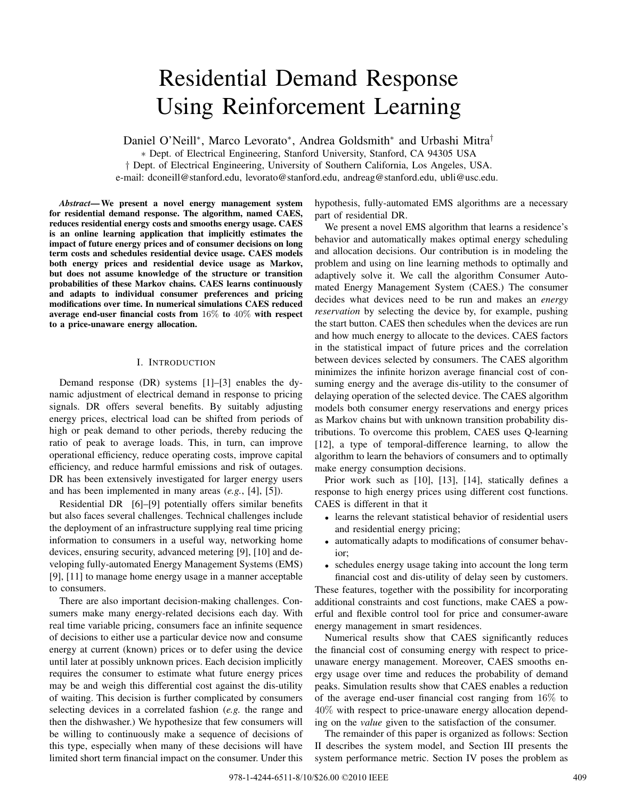# Residential Demand Response Using Reinforcement Learning

Daniel O'Neill∗, Marco Levorato∗, Andrea Goldsmith<sup>∗</sup> and Urbashi Mitra†

∗ Dept. of Electrical Engineering, Stanford University, Stanford, CA 94305 USA † Dept. of Electrical Engineering, University of Southern California, Los Angeles, USA. e-mail: dconeill@stanford.edu, levorato@stanford.edu, andreag@stanford.edu, ubli@usc.edu.

*Abstract***—We present a novel energy management system for residential demand response. The algorithm, named CAES, reduces residential energy costs and smooths energy usage. CAES is an online learning application that implicitly estimates the impact of future energy prices and of consumer decisions on long term costs and schedules residential device usage. CAES models both energy prices and residential device usage as Markov, but does not assume knowledge of the structure or transition probabilities of these Markov chains. CAES learns continuously and adapts to individual consumer preferences and pricing modifications over time. In numerical simulations CAES reduced average end-user financial costs from** 16% **to** 40% **with respect to a price-unaware energy allocation.**

## I. INTRODUCTION

Demand response (DR) systems [1]–[3] enables the dynamic adjustment of electrical demand in response to pricing signals. DR offers several benefits. By suitably adjusting energy prices, electrical load can be shifted from periods of high or peak demand to other periods, thereby reducing the ratio of peak to average loads. This, in turn, can improve operational efficiency, reduce operating costs, improve capital efficiency, and reduce harmful emissions and risk of outages. DR has been extensively investigated for larger energy users and has been implemented in many areas (*e.g.*, [4], [5]).

Residential DR [6]–[9] potentially offers similar benefits but also faces several challenges. Technical challenges include the deployment of an infrastructure supplying real time pricing information to consumers in a useful way, networking home devices, ensuring security, advanced metering [9], [10] and developing fully-automated Energy Management Systems (EMS) [9], [11] to manage home energy usage in a manner acceptable to consumers.

There are also important decision-making challenges. Consumers make many energy-related decisions each day. With real time variable pricing, consumers face an infinite sequence of decisions to either use a particular device now and consume energy at current (known) prices or to defer using the device until later at possibly unknown prices. Each decision implicitly requires the consumer to estimate what future energy prices may be and weigh this differential cost against the dis-utility of waiting. This decision is further complicated by consumers selecting devices in a correlated fashion (*e.g.* the range and then the dishwasher.) We hypothesize that few consumers will be willing to continuously make a sequence of decisions of this type, especially when many of these decisions will have limited short term financial impact on the consumer. Under this

hypothesis, fully-automated EMS algorithms are a necessary part of residential DR.

We present a novel EMS algorithm that learns a residence's behavior and automatically makes optimal energy scheduling and allocation decisions. Our contribution is in modeling the problem and using on line learning methods to optimally and adaptively solve it. We call the algorithm Consumer Automated Energy Management System (CAES.) The consumer decides what devices need to be run and makes an *energy reservation* by selecting the device by, for example, pushing the start button. CAES then schedules when the devices are run and how much energy to allocate to the devices. CAES factors in the statistical impact of future prices and the correlation between devices selected by consumers. The CAES algorithm minimizes the infinite horizon average financial cost of consuming energy and the average dis-utility to the consumer of delaying operation of the selected device. The CAES algorithm models both consumer energy reservations and energy prices as Markov chains but with unknown transition probability distributions. To overcome this problem, CAES uses Q-learning [12], a type of temporal-difference learning, to allow the algorithm to learn the behaviors of consumers and to optimally make energy consumption decisions.

Prior work such as [10], [13], [14], statically defines a response to high energy prices using different cost functions. CAES is different in that it

- learns the relevant statistical behavior of residential users and residential energy pricing;
- automatically adapts to modifications of consumer behavior;
- schedules energy usage taking into account the long term financial cost and dis-utility of delay seen by customers.

These features, together with the possibility for incorporating additional constraints and cost functions, make CAES a powerful and flexible control tool for price and consumer-aware energy management in smart residences.

Numerical results show that CAES significantly reduces the financial cost of consuming energy with respect to priceunaware energy management. Moreover, CAES smooths energy usage over time and reduces the probability of demand peaks. Simulation results show that CAES enables a reduction of the average end-user financial cost ranging from 16% to 40% with respect to price-unaware energy allocation depending on the *value* given to the satisfaction of the consumer.

The remainder of this paper is organized as follows: Section II describes the system model, and Section III presents the system performance metric. Section IV poses the problem as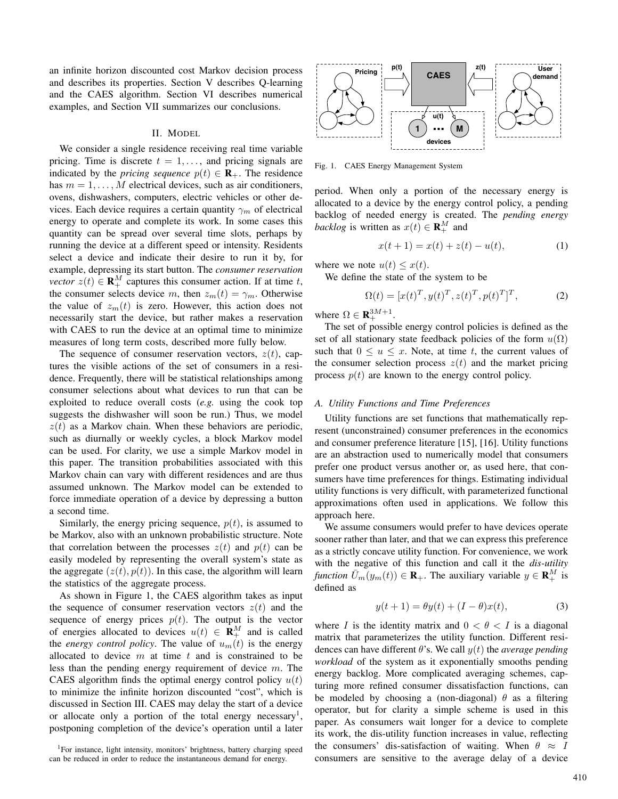an infinite horizon discounted cost Markov decision process and describes its properties. Section V describes Q-learning and the CAES algorithm. Section VI describes numerical examples, and Section VII summarizes our conclusions.

## II. MODEL

We consider a single residence receiving real time variable pricing. Time is discrete  $t = 1, \ldots$ , and pricing signals are indicated by the *pricing sequence*  $p(t) \in \mathbf{R}_{+}$ . The residence has  $m = 1, \ldots, M$  electrical devices, such as air conditioners, ovens, dishwashers, computers, electric vehicles or other devices. Each device requires a certain quantity  $\gamma_m$  of electrical energy to operate and complete its work. In some cases this quantity can be spread over several time slots, perhaps by running the device at a different speed or intensity. Residents select a device and indicate their desire to run it by, for example, depressing its start button. The *consumer reservation vector*  $z(t) \in \mathbf{R}_{+}^{M}$  captures this consumer action. If at time t, the consumer selects device m then  $z(t) = \infty$ . Otherwise the consumer selects device m, then  $z_m(t) = \gamma_m$ . Otherwise the value of  $z_m(t)$  is zero. However, this action does not necessarily start the device, but rather makes a reservation with CAES to run the device at an optimal time to minimize measures of long term costs, described more fully below.

The sequence of consumer reservation vectors,  $z(t)$ , captures the visible actions of the set of consumers in a residence. Frequently, there will be statistical relationships among consumer selections about what devices to run that can be exploited to reduce overall costs (*e.g.* using the cook top suggests the dishwasher will soon be run.) Thus, we model  $z(t)$  as a Markov chain. When these behaviors are periodic, such as diurnally or weekly cycles, a block Markov model can be used. For clarity, we use a simple Markov model in this paper. The transition probabilities associated with this Markov chain can vary with different residences and are thus assumed unknown. The Markov model can be extended to force immediate operation of a device by depressing a button a second time.

Similarly, the energy pricing sequence,  $p(t)$ , is assumed to be Markov, also with an unknown probabilistic structure. Note that correlation between the processes  $z(t)$  and  $p(t)$  can be easily modeled by representing the overall system's state as the aggregate  $(z(t), p(t))$ . In this case, the algorithm will learn the statistics of the aggregate process.

As shown in Figure 1, the CAES algorithm takes as input the sequence of consumer reservation vectors  $z(t)$  and the sequence of energy prices  $p(t)$ . The output is the vector of energies allocated to devices  $u(t) \in \mathbf{R}_+^M$  and is called<br>the *energy control policy*. The value of  $u(t)$  is the energy the *energy control policy*. The value of  $u_m(t)$  is the energy allocated to device  $m$  at time  $t$  and is constrained to be less than the pending energy requirement of device m. The CAES algorithm finds the optimal energy control policy  $u(t)$ to minimize the infinite horizon discounted "cost", which is discussed in Section III. CAES may delay the start of a device or allocate only a portion of the total energy necessary<sup>1</sup>, postponing completion of the device's operation until a later



Fig. 1. CAES Energy Management System

period. When only a portion of the necessary energy is allocated to a device by the energy control policy, a pending backlog of needed energy is created. The *pending energy backlog* is written as  $x(t) \in \mathbf{R}^M_+$  and

$$
x(t+1) = x(t) + z(t) - u(t),
$$
 (1)

where we note  $u(t) \leq x(t)$ .

We define the state of the system to be

$$
\Omega(t) = [x(t)^T, y(t)^T, z(t)^T, p(t)^T]^T,
$$
\n(2)

where  $\Omega \in \mathbf{R}^{3M+1}_{+}$ .<br>The set of possible

The set of possible energy control policies is defined as the set of all stationary state feedback policies of the form  $u(\Omega)$ such that  $0 \le u \le x$ . Note, at time t, the current values of the consumer selection process  $z(t)$  and the market pricing process  $p(t)$  are known to the energy control policy.

# *A. Utility Functions and Time Preferences*

Utility functions are set functions that mathematically represent (unconstrained) consumer preferences in the economics and consumer preference literature [15], [16]. Utility functions are an abstraction used to numerically model that consumers prefer one product versus another or, as used here, that consumers have time preferences for things. Estimating individual utility functions is very difficult, with parameterized functional approximations often used in applications. We follow this approach here.

We assume consumers would prefer to have devices operate sooner rather than later, and that we can express this preference as a strictly concave utility function. For convenience, we work with the negative of this function and call it the *dis-utility function*  $\bar{U}_m(y_m(t)) \in \mathbf{R}_+$ . The auxiliary variable  $y \in \mathbf{R}_+^M$  is defined as defined as

$$
y(t+1) = \theta y(t) + (I - \theta)x(t),
$$
\n(3)

where I is the identity matrix and  $0 < \theta < I$  is a diagonal matrix that parameterizes the utility function. Different residences can have different <sup>θ</sup>'s. We call <sup>y</sup>(t) the *average pending workload* of the system as it exponentially smooths pending energy backlog. More complicated averaging schemes, capturing more refined consumer dissatisfaction functions, can be modeled by choosing a (non-diagonal)  $\theta$  as a filtering operator, but for clarity a simple scheme is used in this paper. As consumers wait longer for a device to complete its work, the dis-utility function increases in value, reflecting the consumers' dis-satisfaction of waiting. When  $\theta \approx I$ consumers are sensitive to the average delay of a device

<sup>1</sup>For instance, light intensity, monitors' brightness, battery charging speed can be reduced in order to reduce the instantaneous demand for energy.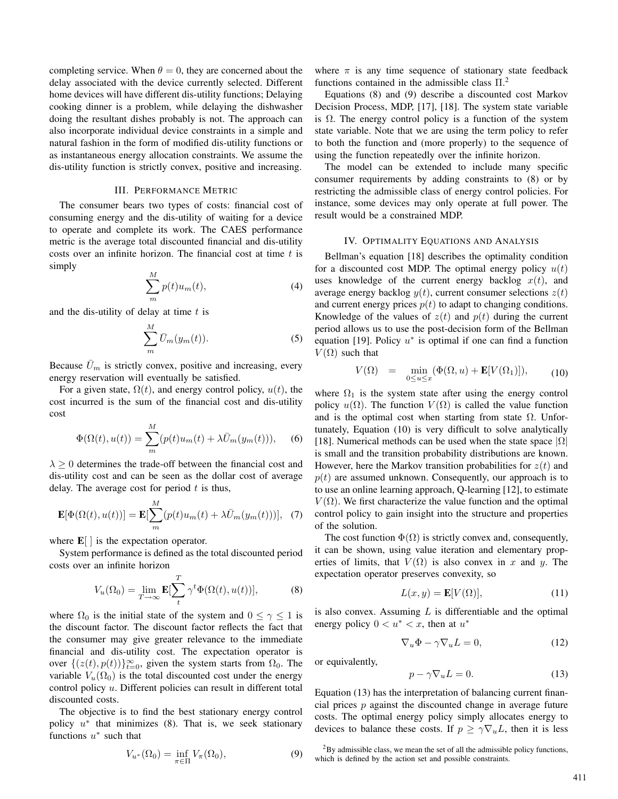completing service. When  $\theta = 0$ , they are concerned about the delay associated with the device currently selected. Different home devices will have different dis-utility functions; Delaying cooking dinner is a problem, while delaying the dishwasher doing the resultant dishes probably is not. The approach can also incorporate individual device constraints in a simple and natural fashion in the form of modified dis-utility functions or as instantaneous energy allocation constraints. We assume the dis-utility function is strictly convex, positive and increasing.

## III. PERFORMANCE METRIC

The consumer bears two types of costs: financial cost of consuming energy and the dis-utility of waiting for a device to operate and complete its work. The CAES performance metric is the average total discounted financial and dis-utility costs over an infinite horizon. The financial cost at time  $t$  is simply

$$
\sum_{m}^{M} p(t)u_m(t),\tag{4}
$$

and the dis-utility of delay at time  $t$  is

$$
\sum_{m}^{M} \bar{U}_m(y_m(t)).
$$
\n(5)

Because  $\bar{U}_m$  is strictly convex, positive and increasing, every energy reservation will eventually be satisfied.

For a given state,  $\Omega(t)$ , and energy control policy,  $u(t)$ , the cost incurred is the sum of the financial cost and dis-utility cost

$$
\Phi(\Omega(t), u(t)) = \sum_{m}^{M} (p(t)u_m(t) + \lambda \bar{U}_m(y_m(t))), \quad (6)
$$

 $\lambda \geq 0$  determines the trade-off between the financial cost and dis-utility cost and can be seen as the dollar cost of average delay. The average cost for period  $t$  is thus,

$$
\mathbf{E}[\Phi(\Omega(t), u(t))] = \mathbf{E}[\sum_{m}^{M} (p(t)u_m(t) + \lambda \bar{U}_m(y_m(t)))], \quad (7)
$$

where  $\mathbf{E}[\ ]$  is the expectation operator.

System performance is defined as the total discounted period costs over an infinite horizon

$$
V_u(\Omega_0) = \lim_{T \to \infty} \mathbf{E} \left[ \sum_t^T \gamma^t \Phi(\Omega(t), u(t)) \right],\tag{8}
$$

where  $\Omega_0$  is the initial state of the system and  $0 \le \gamma \le 1$  is the discount factor. The discount factor reflects the fact that the consumer may give greater relevance to the immediate financial and dis-utility cost. The expectation operator is over  $\{(z(t), p(t))\}_{t=0}^{\infty}$ , given the system starts from  $\Omega_0$ . The variable  $V(\Omega_0)$  is the total discounted cost under the energy variable  $V_u(\Omega_0)$  is the total discounted cost under the energy control policy u. Different policies can result in different total discounted costs.

The objective is to find the best stationary energy control policy  $u^*$  that minimizes (8). That is, we seek stationary functions  $u^*$  such that

$$
V_{u^*}(\Omega_0) = \inf_{\pi \in \Pi} V_{\pi}(\Omega_0),\tag{9}
$$

where  $\pi$  is any time sequence of stationary state feedback functions contained in the admissible class  $\Pi$ <sup>2</sup>.<br>Fountions (8) and (9) describe a discounter

Equations (8) and (9) describe a discounted cost Markov Decision Process, MDP, [17], [18]. The system state variable is  $\Omega$ . The energy control policy is a function of the system state variable. Note that we are using the term policy to refer to both the function and (more properly) to the sequence of using the function repeatedly over the infinite horizon.

The model can be extended to include many specific consumer requirements by adding constraints to (8) or by restricting the admissible class of energy control policies. For instance, some devices may only operate at full power. The result would be a constrained MDP.

#### IV. OPTIMALITY EQUATIONS AND ANALYSIS

Bellman's equation [18] describes the optimality condition for a discounted cost MDP. The optimal energy policy  $u(t)$ uses knowledge of the current energy backlog  $x(t)$ , and average energy backlog  $y(t)$ , current consumer selections  $z(t)$ and current energy prices  $p(t)$  to adapt to changing conditions. Knowledge of the values of  $z(t)$  and  $p(t)$  during the current period allows us to use the post-decision form of the Bellman equation [19]. Policy  $u^*$  is optimal if one can find a function  $V(\Omega)$  such that

$$
V(\Omega) = \min_{0 \le u \le x} (\Phi(\Omega, u) + \mathbf{E}[V(\Omega_1)]), \quad (10)
$$

where  $\Omega_1$  is the system state after using the energy control policy  $u(\Omega)$ . The function  $V(\Omega)$  is called the value function and is the optimal cost when starting from state  $\Omega$ . Unfortunately, Equation (10) is very difficult to solve analytically [18]. Numerical methods can be used when the state space  $|\Omega|$ is small and the transition probability distributions are known. However, here the Markov transition probabilities for  $z(t)$  and  $p(t)$  are assumed unknown. Consequently, our approach is to to use an online learning approach, Q-learning [12], to estimate  $V(\Omega)$ . We first characterize the value function and the optimal control policy to gain insight into the structure and properties of the solution.

The cost function  $\Phi(\Omega)$  is strictly convex and, consequently, it can be shown, using value iteration and elementary properties of limits, that  $V(\Omega)$  is also convex in x and y. The expectation operator preserves convexity, so

$$
L(x, y) = \mathbf{E}[V(\Omega)],\tag{11}
$$

is also convex. Assuming  $L$  is differentiable and the optimal energy policy  $0 < u^* < x$ , then at  $u^*$ 

$$
\nabla_u \Phi - \gamma \nabla_u L = 0,\tag{12}
$$

or equivalently,

$$
p - \gamma \nabla_u L = 0. \tag{13}
$$

Equation (13) has the interpretation of balancing current financial prices  $p$  against the discounted change in average future costs. The optimal energy policy simply allocates energy to devices to balance these costs. If  $p \geq \gamma \nabla_u L$ , then it is less

 ${}^{2}$ By admissible class, we mean the set of all the admissible policy functions, which is defined by the action set and possible constraints.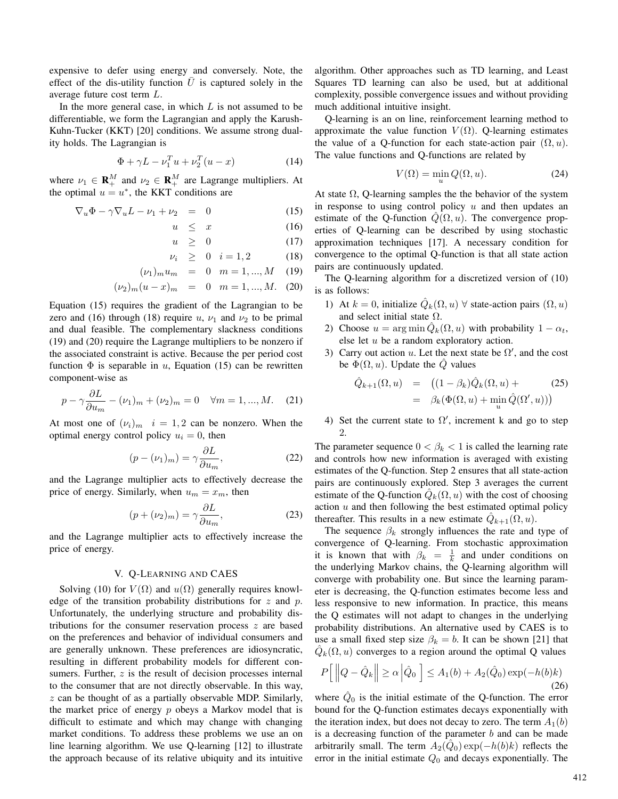expensive to defer using energy and conversely. Note, the effect of the dis-utility function  $U$  is captured solely in the average future cost term L.

In the more general case, in which  $L$  is not assumed to be differentiable, we form the Lagrangian and apply the Karush-Kuhn-Tucker (KKT) [20] conditions. We assume strong duality holds. The Lagrangian is

$$
\Phi + \gamma L - \nu_1^T u + \nu_2^T (u - x) \tag{14}
$$

where  $\nu_1 \in \mathbf{R}^M_+$  and  $\nu_2 \in \mathbf{R}^M_+$  are Lagrange multipliers. At the optimal  $u = u^*$ , the KKT conditions are

$$
\nabla_u \Phi - \gamma \nabla_u L - \nu_1 + \nu_2 = 0 \tag{15}
$$

$$
u \leq x \tag{16}
$$

$$
u \geq 0 \tag{17}
$$

$$
\nu_i \geq 0 \quad i = 1, 2 \tag{18}
$$

$$
(\nu_1)_{m} u_m = 0 \quad m = 1, ..., M \quad (19)
$$

$$
(\nu_2)_m(u-x)_m = 0 \quad m = 1, ..., M. \quad (20)
$$

Equation (15) requires the gradient of the Lagrangian to be zero and (16) through (18) require u,  $\nu_1$  and  $\nu_2$  to be primal and dual feasible. The complementary slackness conditions (19) and (20) require the Lagrange multipliers to be nonzero if the associated constraint is active. Because the per period cost function  $\Phi$  is separable in u, Equation (15) can be rewritten component-wise as

$$
p - \gamma \frac{\partial L}{\partial u_m} - (\nu_1)_m + (\nu_2)_m = 0 \quad \forall m = 1, ..., M. \quad (21)
$$

At most one of  $(\nu_i)_m$   $i = 1, 2$  can be nonzero. When the optimal energy control policy  $u_i = 0$ , then

$$
(p - (\nu_1)_m) = \gamma \frac{\partial L}{\partial u_m},\tag{22}
$$

and the Lagrange multiplier acts to effectively decrease the price of energy. Similarly, when  $u_m = x_m$ , then

$$
(p + (\nu_2)_m) = \gamma \frac{\partial L}{\partial u_m},
$$
\n(23)

and the Lagrange multiplier acts to effectively increase the price of energy.

## V. Q-LEARNING AND CAES

Solving (10) for  $V(\Omega)$  and  $u(\Omega)$  generally requires knowledge of the transition probability distributions for  $z$  and  $p$ . Unfortunately, the underlying structure and probability distributions for the consumer reservation process  $z$  are based on the preferences and behavior of individual consumers and are generally unknown. These preferences are idiosyncratic, resulting in different probability models for different consumers. Further,  $z$  is the result of decision processes internal to the consumer that are not directly observable. In this way,  $z$  can be thought of as a partially observable MDP. Similarly, the market price of energy  $p$  obeys a Markov model that is difficult to estimate and which may change with changing market conditions. To address these problems we use an on line learning algorithm. We use Q-learning [12] to illustrate the approach because of its relative ubiquity and its intuitive algorithm. Other approaches such as TD learning, and Least Squares TD learning can also be used, but at additional complexity, possible convergence issues and without providing much additional intuitive insight.

Q-learning is an on line, reinforcement learning method to approximate the value function  $V(\Omega)$ . O-learning estimates the value of a Q-function for each state-action pair  $(\Omega, u)$ . The value functions and Q-functions are related by

$$
V(\Omega) = \min_{u} Q(\Omega, u). \tag{24}
$$

At state  $\Omega$ , Q-learning samples the the behavior of the system in response to using control policy  $u$  and then updates an estimate of the Q-function  $Q(\Omega, u)$ . The convergence properties of Q-learning can be described by using stochastic approximation techniques [17]. A necessary condition for convergence to the optimal Q-function is that all state action pairs are continuously updated.

The Q-learning algorithm for a discretized version of (10) is as follows:

- 1) At  $k = 0$ , initialize  $\hat{Q}_k(\Omega, u)$   $\forall$  state-action pairs  $(\Omega, u)$ and select initial state  $\Omega$ .
- 2) Choose  $u = \arg \min Q_k(\Omega, u)$  with probability  $1 \alpha_t$ , else let u be a random exploratory action.
- 3) Carry out action u. Let the next state be  $\Omega'$ , and the cost<br>be  $\Phi(Q, u)$ . Undate the  $\hat{Q}$  values be  $\Phi(\Omega, u)$ . Update the  $\hat{Q}$  values

$$
\hat{Q}_{k+1}(\Omega, u) = ((1 - \beta_k)\hat{Q}_k(\Omega, u) + \beta_k(\Phi(\Omega, u) + \min_u \hat{Q}(\Omega', u)))
$$
\n
$$
= \beta_k(\Phi(\Omega, u) + \min_u \hat{Q}(\Omega', u)))
$$

4) Set the current state to  $\Omega'$ , increment k and go to step 2.

The parameter sequence  $0 < \beta_k < 1$  is called the learning rate and controls how new information is averaged with existing estimates of the Q-function. Step 2 ensures that all state-action pairs are continuously explored. Step 3 averages the current estimate of the Q-function  $Q_k(\Omega, u)$  with the cost of choosing action  $u$  and then following the best estimated optimal policy thereafter. This results in a new estimate  $\hat{Q}_{k+1}(\Omega, u)$ .

The sequence  $\beta_k$  strongly influences the rate and type of convergence of Q-learning. From stochastic approximation it is known that with  $\beta_k = \frac{1}{k}$  and under conditions on the underlying Markov chains the O-learning algorithm will the underlying Markov chains, the Q-learning algorithm will converge with probability one. But since the learning parameter is decreasing, the Q-function estimates become less and less responsive to new information. In practice, this means the Q estimates will not adapt to changes in the underlying probability distributions. An alternative used by CAES is to use a small fixed step size  $\beta_k = b$ . It can be shown [21] that  $Q_k(\Omega, u)$  converges to a region around the optimal Q values

$$
P\left[\left\|Q - \hat{Q}_k\right\| \ge \alpha \left|\hat{Q}_0\right.\right] \le A_1(b) + A_2(\hat{Q}_0) \exp(-h(b)k)
$$
\n(26)

where  $\hat{Q}_0$  is the initial estimate of the Q-function. The error bound for the Q-function estimates decays exponentially with the iteration index, but does not decay to zero. The term  $A_1(b)$ is a decreasing function of the parameter  $b$  and can be made arbitrarily small. The term  $A_2(\hat{Q}_0) \exp(-h(b)k)$  reflects the error in the initial estimate  $Q_0$  and decays exponentially. The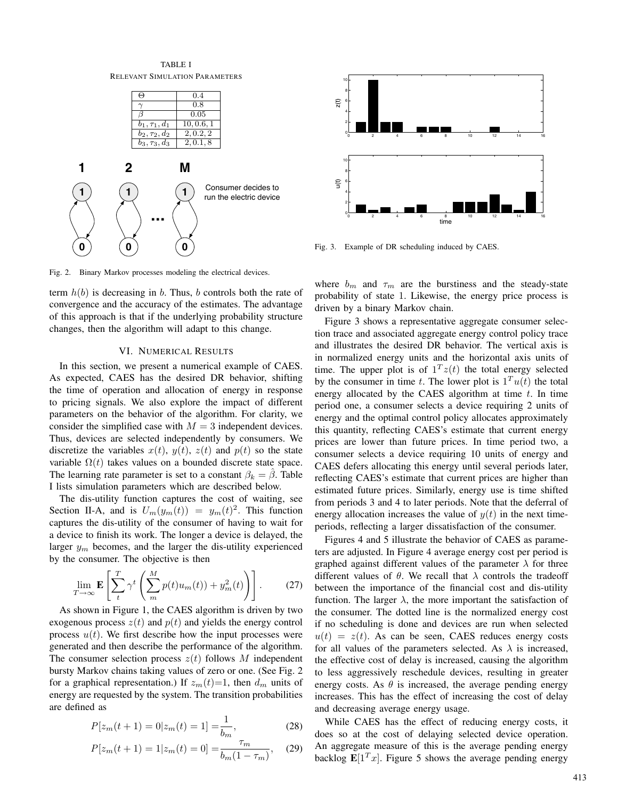TABLE I RELEVANT SIMULATION PARAMETERS



Fig. 2. Binary Markov processes modeling the electrical devices.

term  $h(b)$  is decreasing in b. Thus, b controls both the rate of convergence and the accuracy of the estimates. The advantage of this approach is that if the underlying probability structure changes, then the algorithm will adapt to this change.

## VI. NUMERICAL RESULTS

In this section, we present a numerical example of CAES. As expected, CAES has the desired DR behavior, shifting the time of operation and allocation of energy in response to pricing signals. We also explore the impact of different parameters on the behavior of the algorithm. For clarity, we consider the simplified case with  $M = 3$  independent devices. Thus, devices are selected independently by consumers. We discretize the variables  $x(t)$ ,  $y(t)$ ,  $z(t)$  and  $p(t)$  so the state variable  $\Omega(t)$  takes values on a bounded discrete state space. The learning rate parameter is set to a constant  $\beta_k = \beta$ . Table I lists simulation parameters which are described below.

The dis-utility function captures the cost of waiting, see Section II-A, and is  $U_m(y_m(t)) = y_m(t)^2$ . This function captures the dis-utility of the consumer of having to wait for a device to finish its work. The longer a device is delayed, the larger  $y_m$  becomes, and the larger the dis-utility experienced by the consumer. The objective is then

$$
\lim_{T \to \infty} \mathbf{E} \left[ \sum_{t}^{T} \gamma^t \left( \sum_{m}^{M} p(t) u_m(t) \right) + y_m^2(t) \right] \right].
$$
 (27)

As shown in Figure 1, the CAES algorithm is driven by two exogenous process  $z(t)$  and  $p(t)$  and yields the energy control process  $u(t)$ . We first describe how the input processes were generated and then describe the performance of the algorithm. The consumer selection process  $z(t)$  follows M independent bursty Markov chains taking values of zero or one. (See Fig. 2 for a graphical representation.) If  $z_m(t)=1$ , then  $d_m$  units of energy are requested by the system. The transition probabilities are defined as

$$
P[z_m(t+1) = 0 | z_m(t) = 1] = \frac{1}{b_m},
$$
\n(28)

$$
P[z_m(t+1) = 1 | z_m(t) = 0] = \frac{\tau_m}{b_m(1 - \tau_m)}, \quad (29)
$$



Fig. 3. Example of DR scheduling induced by CAES.

where  $b_m$  and  $\tau_m$  are the burstiness and the steady-state probability of state 1. Likewise, the energy price process is driven by a binary Markov chain.

Figure 3 shows a representative aggregate consumer selection trace and associated aggregate energy control policy trace and illustrates the desired DR behavior. The vertical axis is in normalized energy units and the horizontal axis units of time. The upper plot is of  $1^{T}z(t)$  the total energy selected by the consumer in time t. The lower plot is  $1^T u(t)$  the total energy allocated by the CAES algorithm at time  $t$ . In time period one, a consumer selects a device requiring 2 units of energy and the optimal control policy allocates approximately this quantity, reflecting CAES's estimate that current energy prices are lower than future prices. In time period two, a consumer selects a device requiring 10 units of energy and CAES defers allocating this energy until several periods later, reflecting CAES's estimate that current prices are higher than estimated future prices. Similarly, energy use is time shifted from periods 3 and 4 to later periods. Note that the deferral of energy allocation increases the value of  $y(t)$  in the next timeperiods, reflecting a larger dissatisfaction of the consumer.

Figures 4 and 5 illustrate the behavior of CAES as parameters are adjusted. In Figure 4 average energy cost per period is graphed against different values of the parameter  $\lambda$  for three different values of  $\theta$ . We recall that  $\lambda$  controls the tradeoff between the importance of the financial cost and dis-utility function. The larger  $\lambda$ , the more important the satisfaction of the consumer. The dotted line is the normalized energy cost if no scheduling is done and devices are run when selected  $u(t) = z(t)$ . As can be seen, CAES reduces energy costs for all values of the parameters selected. As  $\lambda$  is increased, the effective cost of delay is increased, causing the algorithm to less aggressively reschedule devices, resulting in greater energy costs. As  $\theta$  is increased, the average pending energy increases. This has the effect of increasing the cost of delay and decreasing average energy usage.

While CAES has the effect of reducing energy costs, it does so at the cost of delaying selected device operation. An aggregate measure of this is the average pending energy backlog  $\mathbf{E}[1^T x]$ . Figure 5 shows the average pending energy